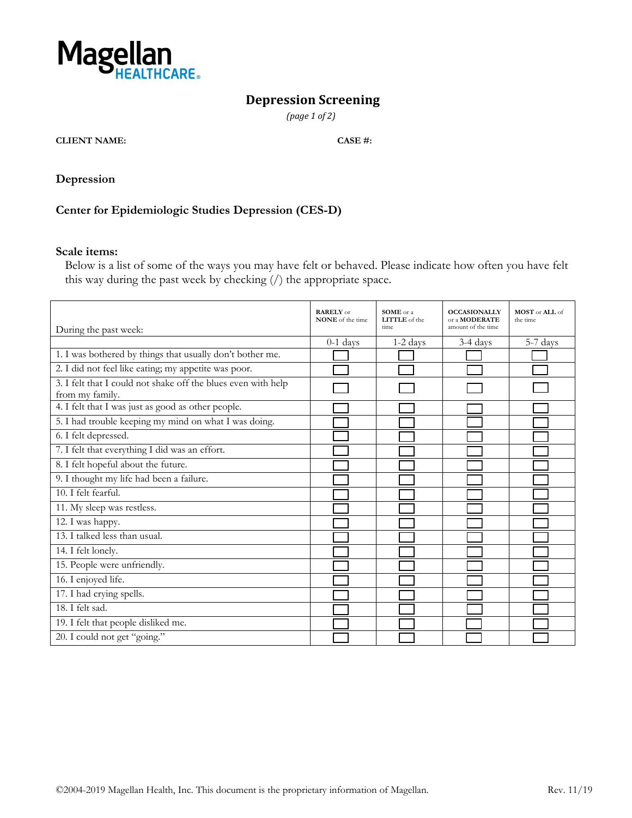

# **Depression Screening**

*(page 1 of 2)*

#### **CLIENT NAME: CASE #:**

**Depression** 

### **Center for Epidemiologic Studies Depression (CES-D)**

#### **Scale items:**

Below is a list of some of the ways you may have felt or behaved. Please indicate how often you have felt this way during the past week by checking (/) the appropriate space.

| During the past week:                                                            | <b>RARELY</b> or<br><b>NONE</b> of the time | SOME or a<br>LITTLE of the<br>time. | <b>OCCASIONALLY</b><br>or a <b>MODERATE</b><br>amount of the time | MOST or ALL of<br>the time |
|----------------------------------------------------------------------------------|---------------------------------------------|-------------------------------------|-------------------------------------------------------------------|----------------------------|
|                                                                                  | $0-1$ days                                  | $1-2$ days                          | 3-4 days                                                          | 5-7 days                   |
| 1. I was bothered by things that usually don't bother me.                        |                                             |                                     |                                                                   |                            |
| 2. I did not feel like eating; my appetite was poor.                             |                                             |                                     |                                                                   |                            |
| 3. I felt that I could not shake off the blues even with help<br>from my family. |                                             |                                     |                                                                   |                            |
| 4. I felt that I was just as good as other people.                               |                                             |                                     |                                                                   |                            |
| 5. I had trouble keeping my mind on what I was doing.                            |                                             |                                     |                                                                   |                            |
| 6. I felt depressed.                                                             |                                             |                                     |                                                                   |                            |
| 7. I felt that everything I did was an effort.                                   |                                             |                                     |                                                                   |                            |
| 8. I felt hopeful about the future.                                              |                                             |                                     |                                                                   |                            |
| 9. I thought my life had been a failure.                                         |                                             |                                     |                                                                   |                            |
| 10. I felt fearful.                                                              |                                             |                                     |                                                                   |                            |
| 11. My sleep was restless.                                                       |                                             |                                     |                                                                   |                            |
| 12. I was happy.                                                                 |                                             |                                     |                                                                   |                            |
| 13. I talked less than usual.                                                    |                                             |                                     |                                                                   |                            |
| 14. I felt lonely.                                                               |                                             |                                     |                                                                   |                            |
| 15. People were unfriendly.                                                      |                                             |                                     |                                                                   |                            |
| 16. I enjoyed life.                                                              |                                             |                                     |                                                                   |                            |
| 17. I had crying spells.                                                         |                                             |                                     |                                                                   |                            |
| 18. I felt sad.                                                                  |                                             |                                     |                                                                   |                            |
| 19. I felt that people disliked me.                                              |                                             |                                     |                                                                   |                            |
| 20. I could not get "going."                                                     |                                             |                                     |                                                                   |                            |